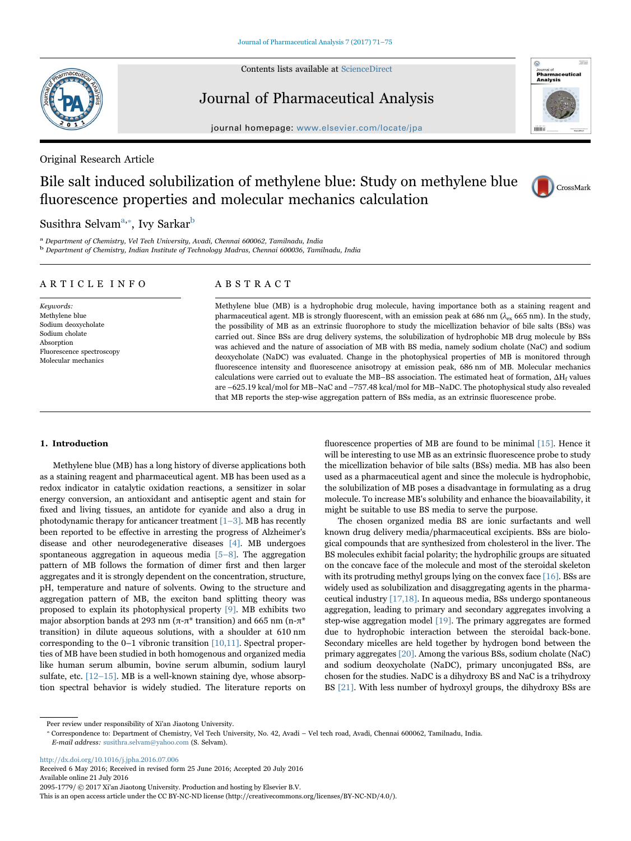Contents lists available at [ScienceDirect](http://www.sciencedirect.com/science/journal/20951779)



# Journal of Pharmaceutical Analysis

journal homepage: [www.elsevier.com/locate/jpa](http://www.elsevier.com/locate/jpa)

Original Research Article

# Bile salt induced solubilization of methylene blue: Study on methylene blue fluorescence properties and molecular mechanics calculation



ceutical

Analysis

CrossMark

# Susithra Selvam $^{\mathrm{a},*},$  Ivy Sarkar $^{\mathrm{b}}$  $^{\mathrm{b}}$  $^{\mathrm{b}}$

<span id="page-0-2"></span><span id="page-0-0"></span><sup>a</sup> Department of Chemistry, Vel Tech University, Avadi, Chennai 600062, Tamilnadu, India <sup>b</sup> Department of Chemistry, Indian Institute of Technology Madras, Chennai 600036, Tamilnadu, India

## ARTICLE INFO

Keywords: Methylene blue Sodium deoxycholate Sodium cholate Absorption Fluorescence spectroscopy Molecular mechanics

# ABSTRACT

Methylene blue (MB) is a hydrophobic drug molecule, having importance both as a staining reagent and pharmaceutical agent. MB is strongly fluorescent, with an emission peak at 686 nm ( $\lambda_{ex}$  665 nm). In the study, the possibility of MB as an extrinsic fluorophore to study the micellization behavior of bile salts (BSs) was carried out. Since BSs are drug delivery systems, the solubilization of hydrophobic MB drug molecule by BSs was achieved and the nature of association of MB with BS media, namely sodium cholate (NaC) and sodium deoxycholate (NaDC) was evaluated. Change in the photophysical properties of MB is monitored through fluorescence intensity and fluorescence anisotropy at emission peak, 686 nm of MB. Molecular mechanics calculations were carried out to evaluate the MB–BS association. The estimated heat of formation,  $\Delta H_f$  values are –625.19 kcal/mol for MB–NaC and –757.48 kcal/mol for MB–NaDC. The photophysical study also revealed that MB reports the step-wise aggregation pattern of BSs media, as an extrinsic fluorescence probe.

## 1. Introduction

Methylene blue (MB) has a long history of diverse applications both as a staining reagent and pharmaceutical agent. MB has been used as a redox indicator in catalytic oxidation reactions, a sensitizer in solar energy conversion, an antioxidant and antiseptic agent and stain for fixed and living tissues, an antidote for cyanide and also a drug in photodynamic therapy for anticancer treatment  $[1-3]$ . MB has recently been reported to be effective in arresting the progress of Alzheimer's disease and other neurodegenerative diseases [\[4\].](#page-4-1) MB undergoes spontaneous aggregation in aqueous media [\[5](#page-4-2)–8]. The aggregation pattern of MB follows the formation of dimer first and then larger aggregates and it is strongly dependent on the concentration, structure, pH, temperature and nature of solvents. Owing to the structure and aggregation pattern of MB, the exciton band splitting theory was proposed to explain its photophysical property [\[9\].](#page-4-3) MB exhibits two major absorption bands at 293 nm ( $\pi$ - $\pi$ <sup>\*</sup> transition) and 665 nm (n- $\pi$ <sup>\*</sup> transition) in dilute aqueous solutions, with a shoulder at 610 nm corresponding to the 0–1 vibronic transition [\[10,11\].](#page-4-4) Spectral properties of MB have been studied in both homogenous and organized media like human serum albumin, bovine serum albumin, sodium lauryl sulfate, etc.  $[12-15]$ . MB is a well-known staining dye, whose absorption spectral behavior is widely studied. The literature reports on fluorescence properties of MB are found to be minimal [\[15\]](#page-4-6). Hence it will be interesting to use MB as an extrinsic fluorescence probe to study the micellization behavior of bile salts (BSs) media. MB has also been used as a pharmaceutical agent and since the molecule is hydrophobic, the solubilization of MB poses a disadvantage in formulating as a drug molecule. To increase MB's solubility and enhance the bioavailability, it might be suitable to use BS media to serve the purpose.

The chosen organized media BS are ionic surfactants and well known drug delivery media/pharmaceutical excipients. BSs are biological compounds that are synthesized from cholesterol in the liver. The BS molecules exhibit facial polarity; the hydrophilic groups are situated on the concave face of the molecule and most of the steroidal skeleton with its protruding methyl groups lying on the convex face [\[16\].](#page-4-7) BSs are widely used as solubilization and disaggregating agents in the pharmaceutical industry [\[17,18\].](#page-4-8) In aqueous media, BSs undergo spontaneous aggregation, leading to primary and secondary aggregates involving a step-wise aggregation model [\[19\]](#page-4-9). The primary aggregates are formed due to hydrophobic interaction between the steroidal back-bone. Secondary micelles are held together by hydrogen bond between the primary aggregates [\[20\]](#page-4-10). Among the various BSs, sodium cholate (NaC) and sodium deoxycholate (NaDC), primary unconjugated BSs, are chosen for the studies. NaDC is a dihydroxy BS and NaC is a trihydroxy BS [\[21\]](#page-4-11). With less number of hydroxyl groups, the dihydroxy BSs are

<span id="page-0-1"></span>⁎ Correspondence to: Department of Chemistry, Vel Tech University, No. 42, Avadi – Vel tech road, Avadi, Chennai 600062, Tamilnadu, India. E-mail address: susithra.selvam@yahoo.com (S. Selvam).

<http://dx.doi.org/10.1016/j.jpha.2016.07.006> Received 6 May 2016; Received in revised form 25 June 2016; Accepted 20 July 2016

Available online 21 July 2016

2095-1779/ © 2017 Xi'an Jiaotong University. Production and hosting by Elsevier B.V.

This is an open access article under the CC BY-NC-ND license (http://creativecommons.org/licenses/BY-NC-ND/4.0/).

Peer review under responsibility of Xi'an Jiaotong University.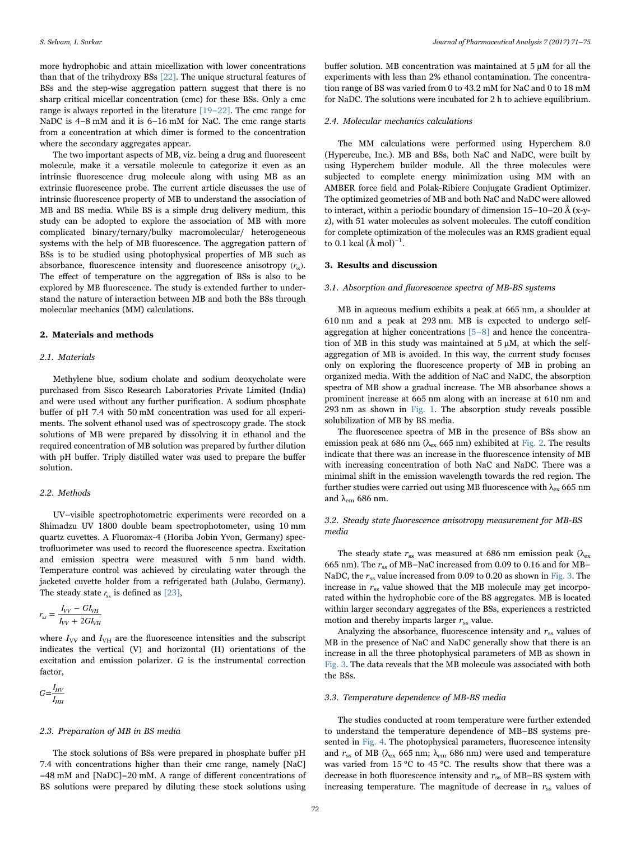more hydrophobic and attain micellization with lower concentrations than that of the trihydroxy BSs [\[22\]](#page-4-12). The unique structural features of BSs and the step-wise aggregation pattern suggest that there is no sharp critical micellar concentration (cmc) for these BSs. Only a cmc range is always reported in the literature [\[19](#page-4-9)–22]. The cmc range for NaDC is  $4-8$  mM and it is  $6-16$  mM for NaC. The cmc range starts from a concentration at which dimer is formed to the concentration where the secondary aggregates appear.

The two important aspects of MB, viz. being a drug and fluorescent molecule, make it a versatile molecule to categorize it even as an intrinsic fluorescence drug molecule along with using MB as an extrinsic fluorescence probe. The current article discusses the use of intrinsic fluorescence property of MB to understand the association of MB and BS media. While BS is a simple drug delivery medium, this study can be adopted to explore the association of MB with more complicated binary/ternary/bulky macromolecular/ heterogeneous systems with the help of MB fluorescence. The aggregation pattern of BSs is to be studied using photophysical properties of MB such as absorbance, fluorescence intensity and fluorescence anisotropy  $(r_{\rm s})$ . The effect of temperature on the aggregation of BSs is also to be explored by MB fluorescence. The study is extended further to understand the nature of interaction between MB and both the BSs through molecular mechanics (MM) calculations.

## 2. Materials and methods

## 2.1. Materials

Methylene blue, sodium cholate and sodium deoxycholate were purchased from Sisco Research Laboratories Private Limited (India) and were used without any further purification. A sodium phosphate buffer of pH 7.4 with 50 mM concentration was used for all experiments. The solvent ethanol used was of spectroscopy grade. The stock solutions of MB were prepared by dissolving it in ethanol and the required concentration of MB solution was prepared by further dilution with pH buffer. Triply distilled water was used to prepare the buffer solution.

## 2.2. Methods

UV–visible spectrophotometric experiments were recorded on a Shimadzu UV 1800 double beam spectrophotometer, using 10 mm quartz cuvettes. A Fluoromax-4 (Horiba Jobin Yvon, Germany) spectrofluorimeter was used to record the fluorescence spectra. Excitation and emission spectra were measured with 5 nm band width. Temperature control was achieved by circulating water through the jacketed cuvette holder from a refrigerated bath (Julabo, Germany). The steady state  $r_{ss}$  is defined as  $[23]$ ,

$$
r_{ss} = \frac{I_{VV} - GI_{VH}}{I_{VV} + 2GI_{VH}}
$$

where  $I_{VV}$  and  $I_{VH}$  are the fluorescence intensities and the subscript indicates the vertical (V) and horizontal (H) orientations of the excitation and emission polarizer. G is the instrumental correction factor,

 $G = \frac{I_{HV}}{I_{HH}}$ 

#### 2.3. Preparation of MB in BS media

The stock solutions of BSs were prepared in phosphate buffer pH 7.4 with concentrations higher than their cmc range, namely [NaC] =48 mM and [NaDC]=20 mM. A range of different concentrations of BS solutions were prepared by diluting these stock solutions using buffer solution. MB concentration was maintained at 5 µM for all the experiments with less than 2% ethanol contamination. The concentration range of BS was varied from 0 to 43.2 mM for NaC and 0 to 18 mM for NaDC. The solutions were incubated for 2 h to achieve equilibrium.

#### 2.4. Molecular mechanics calculations

The MM calculations were performed using Hyperchem 8.0 (Hypercube, Inc.). MB and BSs, both NaC and NaDC, were built by using Hyperchem builder module. All the three molecules were subjected to complete energy minimization using MM with an AMBER force field and Polak-Ribiere Conjugate Gradient Optimizer. The optimized geometries of MB and both NaC and NaDC were allowed to interact, within a periodic boundary of dimension 15–10–20 Å (x-yz), with 51 water molecules as solvent molecules. The cutoff condition for complete optimization of the molecules was an RMS gradient equal to 0.1 kcal (Å mol)<sup>-1</sup>.

#### 3. Results and discussion

#### 3.1. Absorption and fluorescence spectra of MB-BS systems

MB in aqueous medium exhibits a peak at 665 nm, a shoulder at 610 nm and a peak at 293 nm. MB is expected to undergo selfaggregation at higher concentrations [\[5](#page-4-2)–8] and hence the concentration of MB in this study was maintained at  $5 \mu$ M, at which the selfaggregation of MB is avoided. In this way, the current study focuses only on exploring the fluorescence property of MB in probing an organized media. With the addition of NaC and NaDC, the absorption spectra of MB show a gradual increase. The MB absorbance shows a prominent increase at 665 nm along with an increase at 610 nm and 293 nm as shown in [Fig. 1](#page-2-0). The absorption study reveals possible solubilization of MB by BS media.

The fluorescence spectra of MB in the presence of BSs show an emission peak at 686 nm ( $\lambda_{\rm ex}$  665 nm) exhibited at [Fig. 2](#page-2-1). The results indicate that there was an increase in the fluorescence intensity of MB with increasing concentration of both NaC and NaDC. There was a minimal shift in the emission wavelength towards the red region. The further studies were carried out using MB fluorescence with  $\lambda_{ex}$  665 nm and  $\lambda_{\text{em}}$  686 nm.

## 3.2. Steady state fluorescence anisotropy measurement for MB-BS media

The steady state  $r_{ss}$  was measured at 686 nm emission peak ( $\lambda_{ex}$ ) 665 nm). The  $r_{ss}$  of MB–NaC increased from 0.09 to 0.16 and for MB– NaDC, the  $r_{ss}$  value increased from 0.09 to 0.20 as shown in [Fig. 3](#page-3-0). The increase in  $r_{ss}$  value showed that the MB molecule may get incorporated within the hydrophobic core of the BS aggregates. MB is located within larger secondary aggregates of the BSs, experiences a restricted motion and thereby imparts larger  $r_{ss}$  value.

Analyzing the absorbance, fluorescence intensity and  $r_{ss}$  values of MB in the presence of NaC and NaDC generally show that there is an increase in all the three photophysical parameters of MB as shown in [Fig. 3.](#page-3-0) The data reveals that the MB molecule was associated with both the BSs.

## 3.3. Temperature dependence of MB-BS media

The studies conducted at room temperature were further extended to understand the temperature dependence of MB–BS systems presented in [Fig. 4.](#page-3-1) The photophysical parameters, fluorescence intensity and  $r_{ss}$  of MB ( $\lambda_{ex}$  665 nm;  $\lambda_{em}$  686 nm) were used and temperature was varied from 15 °C to 45 °C. The results show that there was a decrease in both fluorescence intensity and  $r_{ss}$  of MB–BS system with increasing temperature. The magnitude of decrease in  $r_{ss}$  values of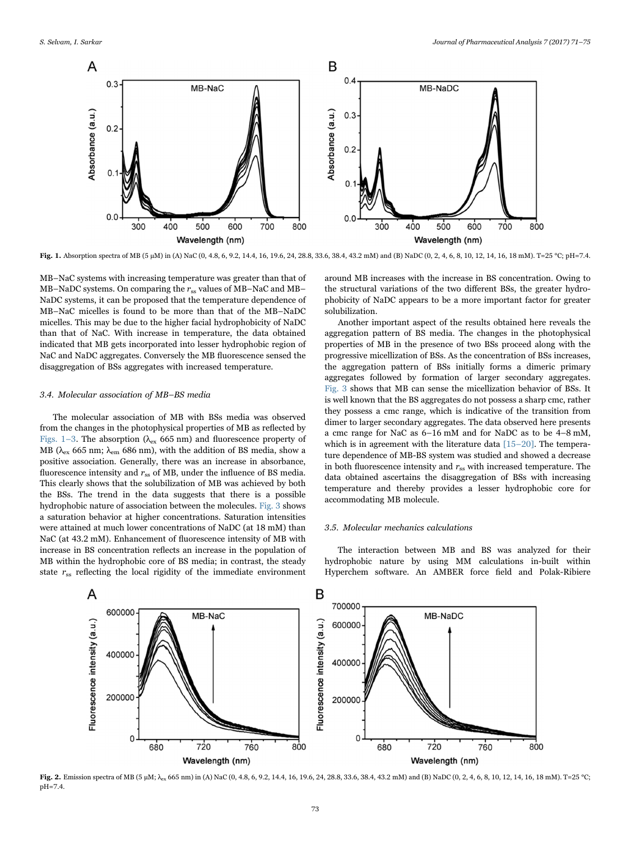<span id="page-2-0"></span>

Fig. 1. Absorption spectra of MB (5 µM) in (A) NaC (0, 4.8, 6, 9.2, 14.4, 16, 19.6, 24, 28.8, 33.6, 38.4, 43.2 mM) and (B) NaDC (0, 2, 4, 6, 8, 10, 12, 14, 16, 18 mM). T=25 °C; pH=7.4.

MB–NaC systems with increasing temperature was greater than that of MB–NaDC systems. On comparing the  $r_{ss}$  values of MB–NaC and MB– NaDC systems, it can be proposed that the temperature dependence of MB–NaC micelles is found to be more than that of the MB–NaDC micelles. This may be due to the higher facial hydrophobicity of NaDC than that of NaC. With increase in temperature, the data obtained indicated that MB gets incorporated into lesser hydrophobic region of NaC and NaDC aggregates. Conversely the MB fluorescence sensed the disaggregation of BSs aggregates with increased temperature.

### 3.4. Molecular association of MB–BS media

The molecular association of MB with BSs media was observed from the changes in the photophysical properties of MB as reflected by [Figs. 1](#page-2-0)–3. The absorption ( $\lambda_{ex}$  665 nm) and fluorescence property of MB ( $\lambda_{\rm ex}$  665 nm;  $\lambda_{\rm em}$  686 nm), with the addition of BS media, show a positive association. Generally, there was an increase in absorbance, fluorescence intensity and  $r_{ss}$  of MB, under the influence of BS media. This clearly shows that the solubilization of MB was achieved by both the BSs. The trend in the data suggests that there is a possible hydrophobic nature of association between the molecules. [Fig. 3](#page-3-0) shows a saturation behavior at higher concentrations. Saturation intensities were attained at much lower concentrations of NaDC (at 18 mM) than NaC (at 43.2 mM). Enhancement of fluorescence intensity of MB with increase in BS concentration reflects an increase in the population of MB within the hydrophobic core of BS media; in contrast, the steady state  $r_{ss}$  reflecting the local rigidity of the immediate environment

around MB increases with the increase in BS concentration. Owing to the structural variations of the two different BSs, the greater hydrophobicity of NaDC appears to be a more important factor for greater solubilization.

Another important aspect of the results obtained here reveals the aggregation pattern of BS media. The changes in the photophysical properties of MB in the presence of two BSs proceed along with the progressive micellization of BSs. As the concentration of BSs increases, the aggregation pattern of BSs initially forms a dimeric primary aggregates followed by formation of larger secondary aggregates. [Fig. 3](#page-3-0) shows that MB can sense the micellization behavior of BSs. It is well known that the BS aggregates do not possess a sharp cmc, rather they possess a cmc range, which is indicative of the transition from dimer to larger secondary aggregates. The data observed here presents a cmc range for NaC as 6–16 mM and for NaDC as to be 4–8 mM, which is in agreement with the literature data [\[15](#page-4-6)–20]. The temperature dependence of MB-BS system was studied and showed a decrease in both fluorescence intensity and  $r_{ss}$  with increased temperature. The data obtained ascertains the disaggregation of BSs with increasing temperature and thereby provides a lesser hydrophobic core for accommodating MB molecule.

## 3.5. Molecular mechanics calculations

The interaction between MB and BS was analyzed for their hydrophobic nature by using MM calculations in-built within Hyperchem software. An AMBER force field and Polak-Ribiere

<span id="page-2-1"></span>

Fig. 2. Emission spectra of MB (5 µM;  $\lambda_{ex}$  665 nm) in (A) NaC (0, 4.8, 6, 9.2, 14.4, 16, 19.6, 24, 28.8, 33.6, 38.4, 43.2 mM) and (B) NaDC (0, 2, 4, 6, 8, 10, 12, 14, 16, 18 mM). T=25 °C; pH=7.4.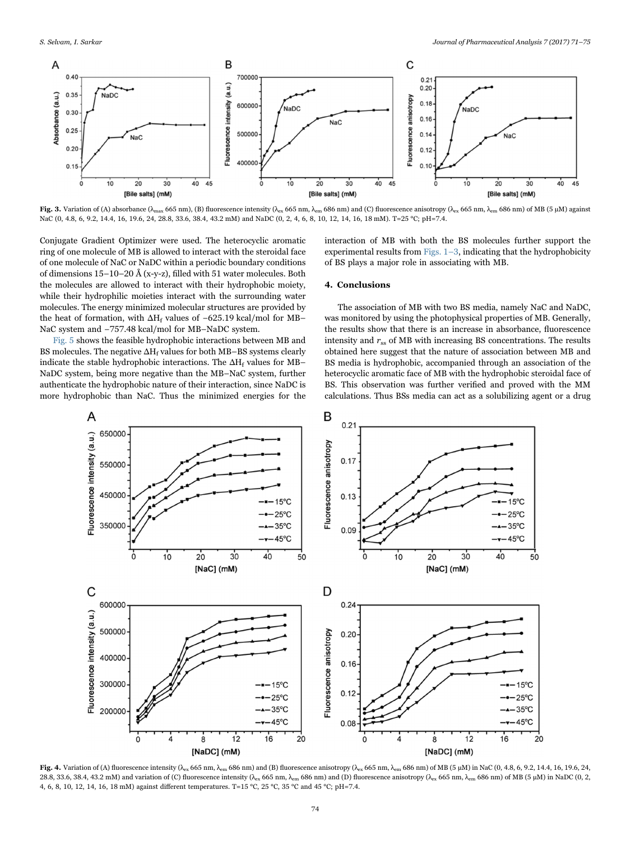<span id="page-3-0"></span>

Fig. 3. Variation of (A) absorbance ( $\lambda_{\rm max}$  665 nm), (B) fluorescence intensity ( $\lambda_{\rm ex}$  665 nm,  $\lambda_{\rm em}$  686 nm) and (C) fluorescence anisotropy ( $\lambda_{\rm ex}$  665 nm,  $\lambda_{\rm em}$  686 nm) of MB (5 µM) against NaC (0, 4.8, 6, 9.2, 14.4, 16, 19.6, 24, 28.8, 33.6, 38.4, 43.2 mM) and NaDC (0, 2, 4, 6, 8, 10, 12, 14, 16, 18 mM). T=25 °C; pH=7.4.

Conjugate Gradient Optimizer were used. The heterocyclic aromatic ring of one molecule of MB is allowed to interact with the steroidal face of one molecule of NaC or NaDC within a periodic boundary conditions of dimensions 15–10–20 Å (x-y-z), filled with 51 water molecules. Both the molecules are allowed to interact with their hydrophobic moiety, while their hydrophilic moieties interact with the surrounding water molecules. The energy minimized molecular structures are provided by the heat of formation, with  $\Delta H_f$  values of −625.19 kcal/mol for MB– NaC system and -757.48 kcal/mol for MB-NaDC system.

[Fig. 5](#page-4-14) shows the feasible hydrophobic interactions between MB and BS molecules. The negative  $\Delta H_f$  values for both MB–BS systems clearly indicate the stable hydrophobic interactions. The  $\Delta H_f$  values for MB– NaDC system, being more negative than the MB–NaC system, further authenticate the hydrophobic nature of their interaction, since NaDC is more hydrophobic than NaC. Thus the minimized energies for the interaction of MB with both the BS molecules further support the experimental results from Figs.  $1-3$ , indicating that the hydrophobicity of BS plays a major role in associating with MB.

## 4. Conclusions

The association of MB with two BS media, namely NaC and NaDC, was monitored by using the photophysical properties of MB. Generally, the results show that there is an increase in absorbance, fluorescence intensity and  $r_{ss}$  of MB with increasing BS concentrations. The results obtained here suggest that the nature of association between MB and BS media is hydrophobic, accompanied through an association of the heterocyclic aromatic face of MB with the hydrophobic steroidal face of BS. This observation was further verified and proved with the MM calculations. Thus BSs media can act as a solubilizing agent or a drug

<span id="page-3-1"></span>

Fig. 4. Variation of (A) fluorescence intensity ( $\lambda_{ex}$  665 nm,  $\lambda_{em}$  686 nm) and (B) fluorescence anisotropy ( $\lambda_{ex}$  665 nm,  $\lambda_{em}$  686 nm) of MB (5 µM) in NaC (0, 4.8, 6, 9.2, 14.4, 16, 19.6, 24, 28.8, 33.6, 38.4, 43.2 mM) and variation of (C) fluorescence intensity ( $\lambda_{ex}$  665 nm,  $\lambda_{em}$  686 nm) and (D) fluorescence anisotropy ( $\lambda_{ex}$  665 nm,  $\lambda_{em}$  686 nm) of MB (5 µM) in NaDC (0, 2, 4, 6, 8, 10, 12, 14, 16, 18 mM) against different temperatures. T=15 °C, 25 °C, 35 °C and 45 °C; pH=7.4.